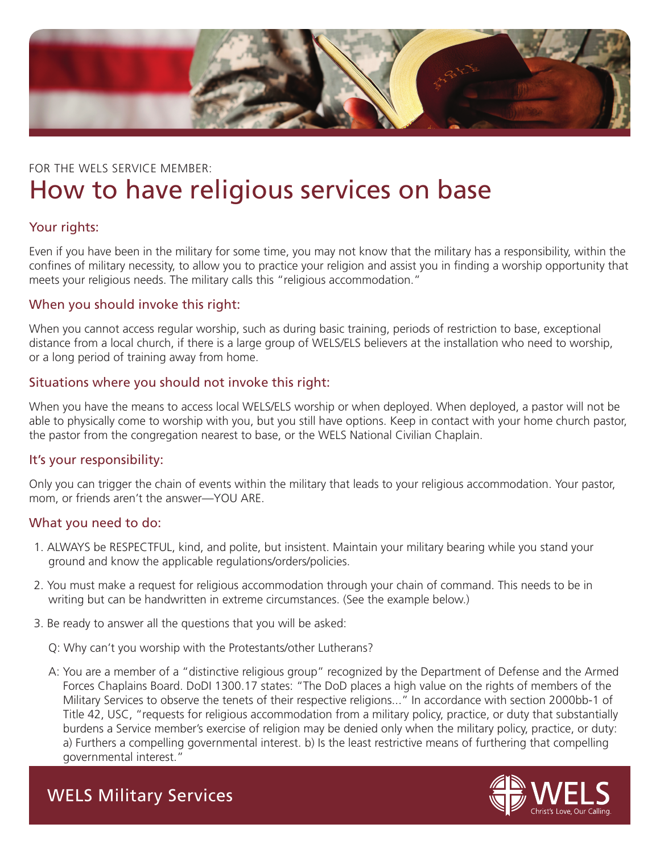

# FOR THE WELS SERVICE MEMBER: How to have religious services on base

# Your rights:

Even if you have been in the military for some time, you may not know that the military has a responsibility, within the confines of military necessity, to allow you to practice your religion and assist you in finding a worship opportunity that meets your religious needs. The military calls this "religious accommodation."

# When you should invoke this right:

When you cannot access regular worship, such as during basic training, periods of restriction to base, exceptional distance from a local church, if there is a large group of WELS/ELS believers at the installation who need to worship, or a long period of training away from home.

# Situations where you should not invoke this right:

When you have the means to access local WELS/ELS worship or when deployed. When deployed, a pastor will not be able to physically come to worship with you, but you still have options. Keep in contact with your home church pastor, the pastor from the congregation nearest to base, or the WELS National Civilian Chaplain.

#### It's your responsibility:

Only you can trigger the chain of events within the military that leads to your religious accommodation. Your pastor, mom, or friends aren't the answer—YOU ARE.

# What you need to do:

- 1. ALWAYS be RESPECTFUL, kind, and polite, but insistent. Maintain your military bearing while you stand your ground and know the applicable regulations/orders/policies.
- 2. You must make a request for religious accommodation through your chain of command. This needs to be in writing but can be handwritten in extreme circumstances. (See the example below.)
- 3. Be ready to answer all the questions that you will be asked:
	- Q: Why can't you worship with the Protestants/other Lutherans?
	- A: You are a member of a "distinctive religious group" recognized by the Department of Defense and the Armed Forces Chaplains Board. DoDI 1300.17 states: "The DoD places a high value on the rights of members of the Military Services to observe the tenets of their respective religions..." In accordance with section 2000bb-1 of Title 42, USC, "requests for religious accommodation from a military policy, practice, or duty that substantially burdens a Service member's exercise of religion may be denied only when the military policy, practice, or duty: a) Furthers a compelling governmental interest. b) Is the least restrictive means of furthering that compelling governmental interest."



WELS Military Services